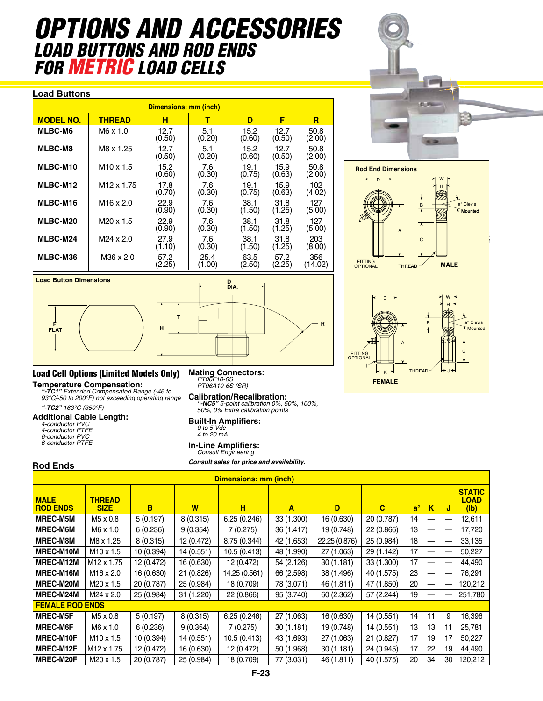# *OPTIONS AND ACCESSORIES Load Buttons and Rod Ends FOR METRIC LOAD C*

#### **Load Buttons**

| Dimensions: mm (inch) |                        |                |                |                |                |                |  |  |  |  |
|-----------------------|------------------------|----------------|----------------|----------------|----------------|----------------|--|--|--|--|
| <b>MODEL NO.</b>      | <b>THREAD</b>          | н              | т              | D              | F              | R              |  |  |  |  |
| <b>MLBC-M6</b>        | M6 x 1.0               | 12.7<br>(0.50) | 5.1<br>(0.20)  | 15.2<br>(0.60) | 12.7<br>(0.50) | 50.8<br>(2.00) |  |  |  |  |
| <b>MLBC-M8</b>        | M8 x 1.25              | 12.7<br>(0.50) | 5.1<br>(0.20)  | 15.2<br>(0.60) | 12.7<br>(0.50) | 50.8<br>(2.00) |  |  |  |  |
| <b>MLBC-M10</b>       | $M10 \times 1.5$       | 15.2<br>(0.60) | 7.6<br>(0.30)  | 19.1<br>(0.75) | 15.9<br>(0.63) | 50.8<br>(2.00) |  |  |  |  |
| MLBC-M12              | M <sub>12</sub> x 1.75 | 17.8<br>(0.70) | 7.6<br>(0.30)  | 19.1<br>(0.75) | 15.9<br>(0.63) | 102<br>(4.02)  |  |  |  |  |
| MLBC-M16              | M <sub>16</sub> x 2.0  | 22.9<br>(0.90) | 7.6<br>(0.30)  | 38.1<br>(1.50) | 31.8<br>(1.25) | 127<br>(5.00)  |  |  |  |  |
| MLBC-M20              | M <sub>20</sub> x 1.5  | 22.9<br>(0.90) | 7.6<br>(0.30)  | 38.1<br>(1.50) | 31.8<br>(1.25) | 127<br>(5.00)  |  |  |  |  |
| MLBC-M24              | M24 x 2.0              | 27.9<br>(1.10) | 7.6<br>(0.30)  | 38.1<br>(1.50) | 31.8<br>(1.25) | 203<br>(8.00)  |  |  |  |  |
| MLBC-M36              | M36 x 2.0              | 57.2<br>(2.25) | 25.4<br>(1.00) | 63.5<br>(2.50) | 57.2<br>(2.25) | 356<br>(14.02) |  |  |  |  |

**Load Button Dimensions D**<br>DIA. ————+| **T** ┑  $\overline{\phantom{0}}$ **H F <sup>R</sup>**

### Load Cell Options (Limited Models Only)

**Temperature Compensation:** *"-TC1" Extended Compensated Range (-46 to 93°C/-50 to 200°F) not exceeding operating range "-TC2" 163°C (350°F)*

#### **Additional Cable Length:**

| 4-conductor PVC  |
|------------------|
| 4-conductor PTFE |
| 6-conductor PVC  |
| 6-conductor PTFE |
|                  |

#### **Rod Ends**

**FLAT**

| <b>Dimensions: mm (inch)</b>   |                              |            |            |               |            |               |            |             |    |    |                                      |
|--------------------------------|------------------------------|------------|------------|---------------|------------|---------------|------------|-------------|----|----|--------------------------------------|
| <b>MALE</b><br><b>ROD ENDS</b> | <b>THREAD</b><br><b>SIZE</b> | в          | W          | н             | A          | D             | C          | $a^{\circ}$ | K  | J  | <b>STATIC</b><br><b>LOAD</b><br>(1b) |
| <b>MREC-M5M</b>                | M5 x 0.8                     | 5(0.197)   | 8(0.315)   | 6.25(0.246)   | 33 (1.300) | 16 (0.630)    | 20 (0.787) | 14          |    |    | 12,611                               |
| <b>MREC-M6M</b>                | $M6 \times 1.0$              | 6(0.236)   | 9(0.354)   | 7(0.275)      | 36 (1.417) | 19 (0.748)    | 22 (0.866) | 13          | —  |    | 17,720                               |
| <b>MREC-M8M</b>                | M8 x 1.25                    | 8(0.315)   | 12 (0.472) | 8.75 (0.344)  | 42 (1.653) | 22.25 (0.876) | 25 (0.984) | 18          |    |    | 33,135                               |
| <b>MREC-M10M</b>               | $M10 \times 1.5$             | 10 (0.394) | 14 (0.551) | 10.5(0.413)   | 48 (1.990) | 27 (1.063)    | 29 (1.142) | 17          |    |    | 50,227                               |
| MREC-M12M                      | M <sub>12</sub> x 1.75       | 12 (0.472) | 16 (0.630) | 12 (0.472)    | 54 (2.126) | 30(1.181)     | 33 (1.300) | 17          |    |    | 44,490                               |
| MREC-M16M                      | $M16 \times 2.0$             | 16 (0.630) | 21 (0.826) | 14.25 (0.561) | 66 (2.598) | 38 (1.496)    | 40 (1.575) | 23          |    |    | 76,291                               |
| <b>MREC-M20M</b>               | $M20 \times 1.5$             | 20 (0.787) | 25 (0.984) | 18 (0.709)    | 78 (3.071) | 46 (1.811)    | 47 (1.850) | 20          | —  |    | 120,212                              |
| MREC-M24M                      | M24 x 2.0                    | 25 (0.984) | 31 (1.220) | 22 (0.866)    | 95 (3.740) | 60 (2.362)    | 57 (2.244) | 19          |    |    | 251,780                              |
| <b>FEMALE ROD ENDS</b>         |                              |            |            |               |            |               |            |             |    |    |                                      |
| <b>MREC-M5F</b>                | M5 x 0.8                     | 5(0.197)   | 8(0.315)   | 6.25(0.246)   | 27 (1.063) | 16 (0.630)    | 14 (0.551) | 14          | 11 | 9  | 16,396                               |
| <b>MREC-M6F</b>                | $M6 \times 1.0$              | 6(0.236)   | 9(0.354)   | 7(0.275)      | 30 (1.181) | 19 (0.748)    | 14 (0.551) | 13          | 13 | 11 | 25,781                               |
| <b>MREC-M10F</b>               | $M10 \times 1.5$             | 10 (0.394) | 14 (0.551) | 10.5 (0.413)  | 43 (1.693) | 27 (1.063)    | 21(0.827)  | 17          | 19 | 17 | 50,227                               |
| MREC-M12F                      | M <sub>12</sub> x 1.75       | 12 (0.472) | 16 (0.630) | 12 (0.472)    | 50 (1.968) | 30 (1.181)    | 24 (0.945) | 17          | 22 | 19 | 44,490                               |
| <b>MREC-M20F</b>               | $M20 \times 1.5$             | 20 (0.787) | 25 (0.984) | 18 (0.709)    | 77 (3.031) | 46 (1.811)    | 40 (1.575) | 20          | 34 | 30 | 120,212                              |



**Calibration/Recalibration:** *"-NC5" 5-point calibration 0%, 50%, 100%, 50%, 0% Extra calibration points*

# **Built-In Amplifiers:** *0 to 5 Vdc 4 to 20 mA*

## **In-Line Amplifiers:** *Consult Engineering*

*Consult sales for price and availability.*

**Rod End Dimensions Rod End Dimensions** D  $W \leftarrow$ H P-WG<sup>-R</sup> a° Clevis Barriot and the control of the control of the control of the control of the control of the control of the control of the control of the control of the control of the control of the control of the control of the c B  $\overline{\bullet}$ Mounted A FITTING C OPTIONAL FITTING<br>Optional thread **MALE** W W D H a° Clevis  $\|\cdot\|$   $\|\cdot\|$   $\|\cdot\|$   $\|\cdot\|$   $\|\cdot\|$   $\|\cdot\|$ Mounted Mounted A C FITTING OPTIONAL † THREAD J K **FEMALE**

P-RodEndDime